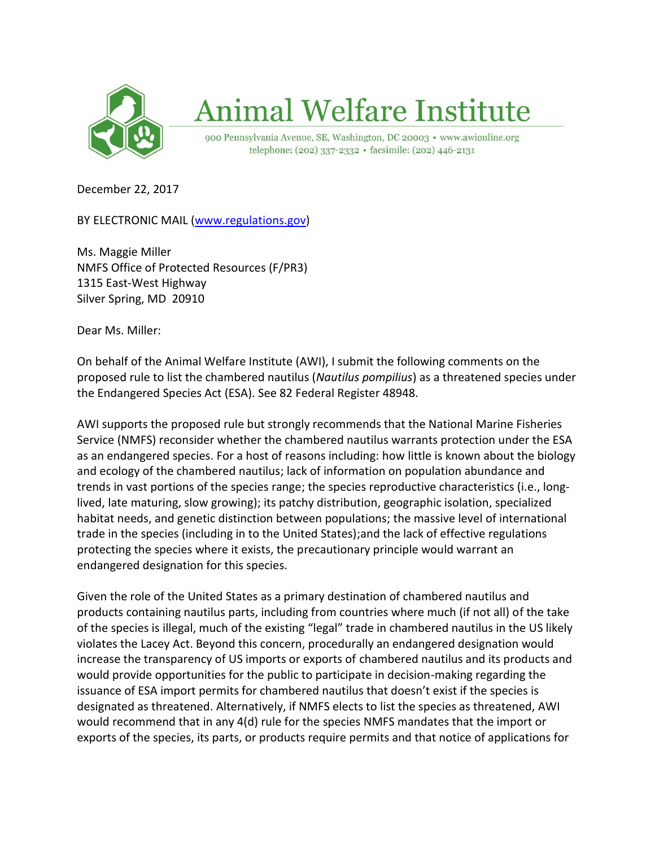

## **Animal Welfare Institute**

900 Pennsylvania Avenue, SE, Washington, DC 20003 · www.awionline.org telephone: (202) 337-2332 · facsimile: (202) 446-2131

December 22, 2017

BY ELECTRONIC MAIL [\(www.regulations.gov\)](http://www.regulations.gov/)

Ms. Maggie Miller NMFS Office of Protected Resources (F/PR3) 1315 East-West Highway Silver Spring, MD 20910

Dear Ms. Miller:

On behalf of the Animal Welfare Institute (AWI), I submit the following comments on the proposed rule to list the chambered nautilus (*Nautilus pompilius*) as a threatened species under the Endangered Species Act (ESA). See 82 Federal Register 48948.

AWI supports the proposed rule but strongly recommends that the National Marine Fisheries Service (NMFS) reconsider whether the chambered nautilus warrants protection under the ESA as an endangered species. For a host of reasons including: how little is known about the biology and ecology of the chambered nautilus; lack of information on population abundance and trends in vast portions of the species range; the species reproductive characteristics (i.e., longlived, late maturing, slow growing); its patchy distribution, geographic isolation, specialized habitat needs, and genetic distinction between populations; the massive level of international trade in the species (including in to the United States);and the lack of effective regulations protecting the species where it exists, the precautionary principle would warrant an endangered designation for this species.

Given the role of the United States as a primary destination of chambered nautilus and products containing nautilus parts, including from countries where much (if not all) of the take of the species is illegal, much of the existing "legal" trade in chambered nautilus in the US likely violates the Lacey Act. Beyond this concern, procedurally an endangered designation would increase the transparency of US imports or exports of chambered nautilus and its products and would provide opportunities for the public to participate in decision-making regarding the issuance of ESA import permits for chambered nautilus that doesn't exist if the species is designated as threatened. Alternatively, if NMFS elects to list the species as threatened, AWI would recommend that in any 4(d) rule for the species NMFS mandates that the import or exports of the species, its parts, or products require permits and that notice of applications for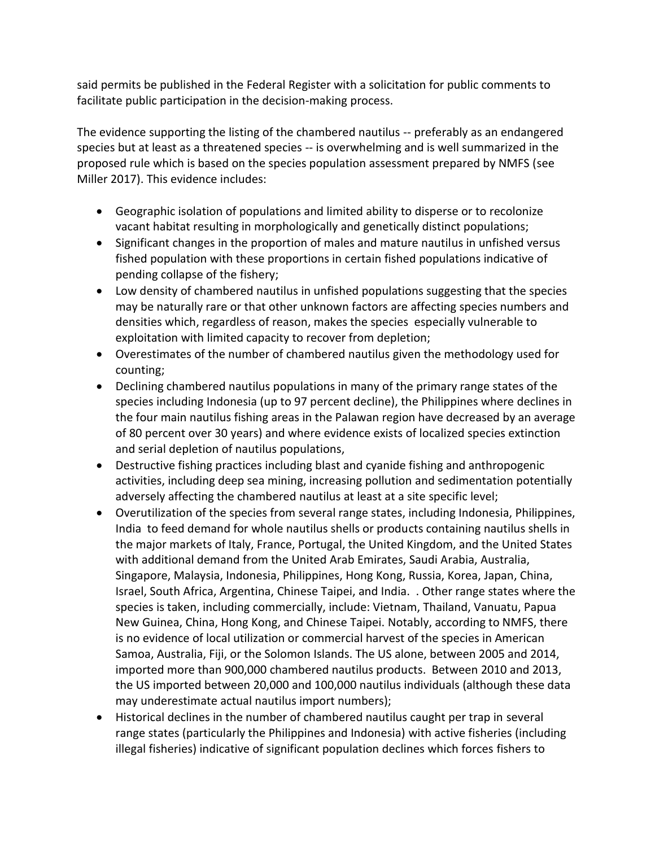said permits be published in the Federal Register with a solicitation for public comments to facilitate public participation in the decision-making process.

The evidence supporting the listing of the chambered nautilus -- preferably as an endangered species but at least as a threatened species -- is overwhelming and is well summarized in the proposed rule which is based on the species population assessment prepared by NMFS (see Miller 2017). This evidence includes:

- Geographic isolation of populations and limited ability to disperse or to recolonize vacant habitat resulting in morphologically and genetically distinct populations;
- Significant changes in the proportion of males and mature nautilus in unfished versus fished population with these proportions in certain fished populations indicative of pending collapse of the fishery;
- Low density of chambered nautilus in unfished populations suggesting that the species may be naturally rare or that other unknown factors are affecting species numbers and densities which, regardless of reason, makes the species especially vulnerable to exploitation with limited capacity to recover from depletion;
- Overestimates of the number of chambered nautilus given the methodology used for counting;
- Declining chambered nautilus populations in many of the primary range states of the species including Indonesia (up to 97 percent decline), the Philippines where declines in the four main nautilus fishing areas in the Palawan region have decreased by an average of 80 percent over 30 years) and where evidence exists of localized species extinction and serial depletion of nautilus populations,
- Destructive fishing practices including blast and cyanide fishing and anthropogenic activities, including deep sea mining, increasing pollution and sedimentation potentially adversely affecting the chambered nautilus at least at a site specific level;
- Overutilization of the species from several range states, including Indonesia, Philippines, India to feed demand for whole nautilus shells or products containing nautilus shells in the major markets of Italy, France, Portugal, the United Kingdom, and the United States with additional demand from the United Arab Emirates, Saudi Arabia, Australia, Singapore, Malaysia, Indonesia, Philippines, Hong Kong, Russia, Korea, Japan, China, Israel, South Africa, Argentina, Chinese Taipei, and India. . Other range states where the species is taken, including commercially, include: Vietnam, Thailand, Vanuatu, Papua New Guinea, China, Hong Kong, and Chinese Taipei. Notably, according to NMFS, there is no evidence of local utilization or commercial harvest of the species in American Samoa, Australia, Fiji, or the Solomon Islands. The US alone, between 2005 and 2014, imported more than 900,000 chambered nautilus products. Between 2010 and 2013, the US imported between 20,000 and 100,000 nautilus individuals (although these data may underestimate actual nautilus import numbers);
- Historical declines in the number of chambered nautilus caught per trap in several range states (particularly the Philippines and Indonesia) with active fisheries (including illegal fisheries) indicative of significant population declines which forces fishers to